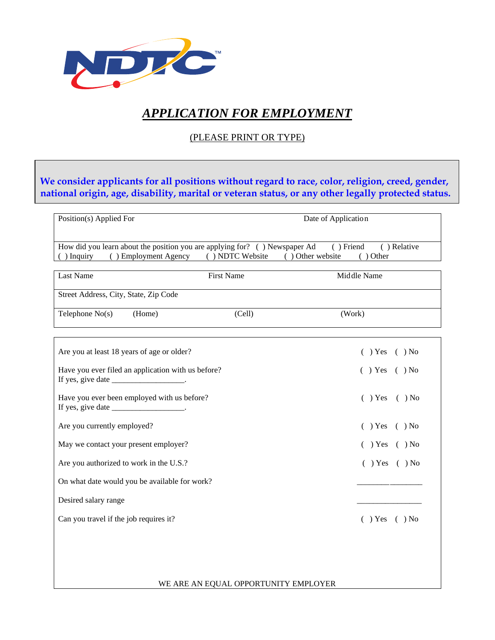

# *APPLICATION FOR EMPLOYMENT*

# (PLEASE PRINT OR TYPE)

**We consider applicants for all positions without regard to race, color, religion, creed, gender, national origin, age, disability, marital or veteran status, or any other legally protected status.**

| Position(s) Applied For                                                    |                   | Date of Application    |  |
|----------------------------------------------------------------------------|-------------------|------------------------|--|
|                                                                            |                   |                        |  |
| How did you learn about the position you are applying for? () Newspaper Ad |                   | ) Relative<br>Friend   |  |
| <b>Employment Agency</b><br>Inquiry                                        | ) NDTC Website    | Other website<br>Other |  |
|                                                                            |                   |                        |  |
| Last Name                                                                  | <b>First Name</b> | Middle Name            |  |
|                                                                            |                   |                        |  |

Street Address, City, State, Zip Code

| Telephone $No(s)$ | (Home) | (Cell) | (Work) |  |
|-------------------|--------|--------|--------|--|
|                   |        |        |        |  |

| Are you at least 18 years of age or older?                                                                             | $( )$ Yes $( )$ No |
|------------------------------------------------------------------------------------------------------------------------|--------------------|
| Have you ever filed an application with us before?<br>If yes, give date $\_\_\_\_\_\_\_\_\_\_\_\_\_\_\_\_\_\_\_\_\_.\$ | $( )$ Yes $( )$ No |
| Have you ever been employed with us before?<br>If yes, give date ________________________.                             | $( )$ Yes $( )$ No |
| Are you currently employed?                                                                                            | $( )$ Yes $( )$ No |
| May we contact your present employer?                                                                                  | $( )$ Yes $( )$ No |
| Are you authorized to work in the U.S.?                                                                                | $( )$ Yes $( )$ No |
| On what date would you be available for work?                                                                          |                    |
| Desired salary range                                                                                                   |                    |
| Can you travel if the job requires it?                                                                                 | $( )$ Yes $( )$ No |

WE ARE AN EQUAL OPPORTUNITY EMPLOYER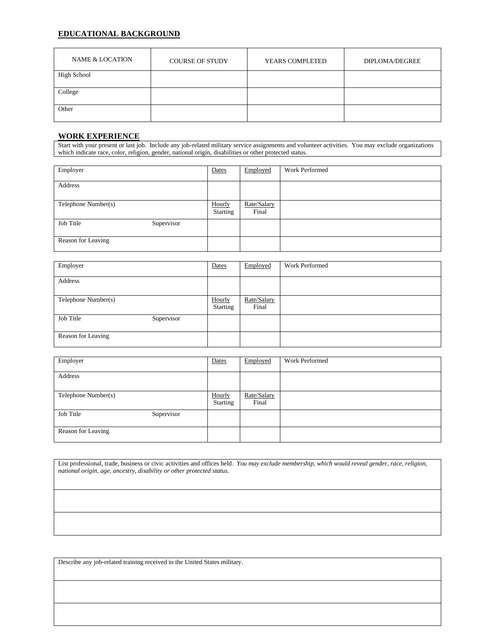### **EDUCATIONAL BACKGROUND**

| NAME & LOCATION    | <b>COURSE OF STUDY</b> | YEARS COMPLETED | DIPLOMA/DEGREE |
|--------------------|------------------------|-----------------|----------------|
| <b>High School</b> |                        |                 |                |
| College            |                        |                 |                |
| Other              |                        |                 |                |

#### **WORK EXPERIENCE**

Start with your present or last job. Include any job-related military service assignments and volunteer activities. You may exclude organizations which indicate race, color, religion, gender, national origin, disabilities or other protected status.

| Employer            |            | Dates                     | Employed             | <b>Work Performed</b> |
|---------------------|------------|---------------------------|----------------------|-----------------------|
| Address             |            |                           |                      |                       |
| Telephone Number(s) |            | Hourly<br><b>Starting</b> | Rate/Salary<br>Final |                       |
| Job Title           | Supervisor |                           |                      |                       |
| Reason for Leaving  |            |                           |                      |                       |

| Employer                | Dates                     | Employed             | <b>Work Performed</b> |
|-------------------------|---------------------------|----------------------|-----------------------|
| Address                 |                           |                      |                       |
|                         |                           |                      |                       |
| Telephone Number(s)     | Hourly<br><b>Starting</b> | Rate/Salary<br>Final |                       |
| Job Title<br>Supervisor |                           |                      |                       |
| Reason for Leaving      |                           |                      |                       |

| Employer                | Dates                     | Employed             | Work Performed |
|-------------------------|---------------------------|----------------------|----------------|
| Address                 |                           |                      |                |
| Telephone Number(s)     | Hourly<br><b>Starting</b> | Rate/Salary<br>Final |                |
| Job Title<br>Supervisor |                           |                      |                |
| Reason for Leaving      |                           |                      |                |

List professional, trade, business or civic activities and offices held. *You may exclude membership, which would reveal gender, race, religion, national origin, age, ancestry, disability or other protected status.*

Describe any job-related training received in the United States military.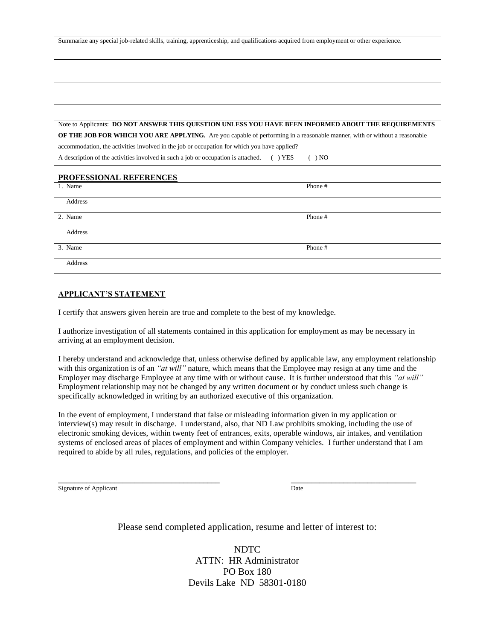Summarize any special job-related skills, training, apprenticeship, and qualifications acquired from employment or other experience.

Note to Applicants: **DO NOT ANSWER THIS QUESTION UNLESS YOU HAVE BEEN INFORMED ABOUT THE REQUIREMENTS OF THE JOB FOR WHICH YOU ARE APPLYING.** Are you capable of performing in a reasonable manner, with or without a reasonable accommodation, the activities involved in the job or occupation for which you have applied? A description of the activities involved in such a job or occupation is attached. () YES () NO

#### **PROFESSIONAL REFERENCES**

| 1. Name | Phone # |
|---------|---------|
| Address |         |
| 2. Name | Phone # |
| Address |         |
| 3. Name | Phone # |
| Address |         |

#### **APPLICANT'S STATEMENT**

I certify that answers given herein are true and complete to the best of my knowledge.

I authorize investigation of all statements contained in this application for employment as may be necessary in arriving at an employment decision.

I hereby understand and acknowledge that, unless otherwise defined by applicable law, any employment relationship with this organization is of an *"at will"* nature, which means that the Employee may resign at any time and the Employer may discharge Employee at any time with or without cause. It is further understood that this *"at will"* Employment relationship may not be changed by any written document or by conduct unless such change is specifically acknowledged in writing by an authorized executive of this organization.

In the event of employment, I understand that false or misleading information given in my application or interview(s) may result in discharge. I understand, also, that ND Law prohibits smoking, including the use of electronic smoking devices, within twenty feet of entrances, exits, operable windows, air intakes, and ventilation systems of enclosed areas of places of employment and within Company vehicles. I further understand that I am required to abide by all rules, regulations, and policies of the employer.

\_\_\_\_\_\_\_\_\_\_\_\_\_\_\_\_\_\_\_\_\_\_\_\_\_\_\_\_\_\_\_\_\_\_\_\_\_\_\_\_ \_\_\_\_\_\_\_\_\_\_\_\_\_\_\_\_\_\_\_\_\_\_\_\_\_\_\_\_\_\_\_

Signature of Applicant Date

Please send completed application, resume and letter of interest to:

NDTC ATTN: HR Administrator PO Box 180 Devils Lake ND 58301-0180